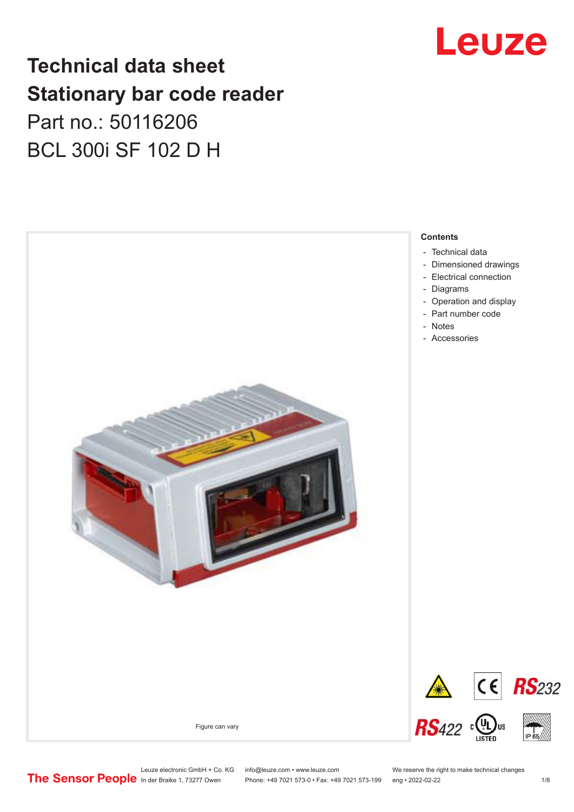## Leuze

## **Technical data sheet Stationary bar code reader** Part no.: 50116206 BCL 300i SF 102 D H



Leuze electronic GmbH + Co. KG info@leuze.com • www.leuze.com We reserve the right to make technical changes<br>
The Sensor People in der Braike 1, 73277 Owen Phone: +49 7021 573-0 • Fax: +49 7021 573-199 eng • 2022-02-22

Phone: +49 7021 573-0 • Fax: +49 7021 573-199 eng • 2022-02-22 1 /8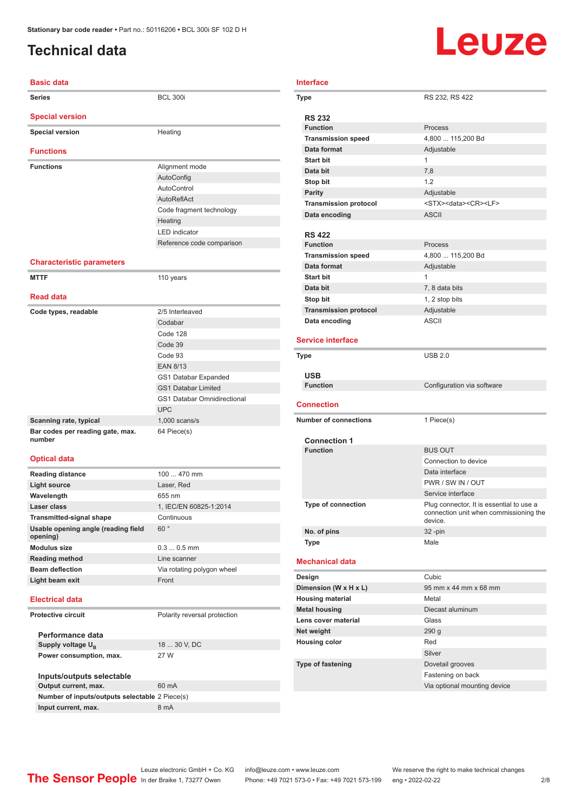### <span id="page-1-0"></span>**Technical data**

# Leuze

#### **Basic data Series** BCL 300i **Special version Special version Heating Functions Functions** Alignment mode AutoConfig AutoControl AutoReflAct Code fragment technology **Heating** LED indicator Reference code comparison **Characteristic parameters MTTF** 110 years **Read data** Code types, readable 2/5 Interleaved Codabar Code 128 Code 39 Code 93 EAN 8/13 GS1 Databar Expanded GS1 Databar Limited GS1 Databar Omnidirectional UPC **Scanning rate, typical** 1,000 scans/s **Bar codes per reading gate, max. number** 64 Piece(s) **Optical data Reading distance** 100 ... 470 mm **Light source** Laser, Red **Wavelength** 655 nm **Laser class** 1, IEC/EN 60825-1:2014 **Transmitted-signal shape** Continuous **Usable opening angle (reading field opening)** 60 ° **Modulus size** 0.3 ... 0.5 mm **Reading method** Line scanner **Beam deflection** Via rotating polygon wheel **Light beam exit** Front **Electrical data Protective circuit** Polarity reversal protection

| <b>RS 232</b>                |                                                   |
|------------------------------|---------------------------------------------------|
| <b>Function</b>              | Process                                           |
| <b>Transmission speed</b>    | 4,800  115,200 Bd                                 |
| Data format                  | Adjustable                                        |
| <b>Start bit</b>             | 1                                                 |
| Data bit                     | 7,8                                               |
| Stop bit                     | 1.2                                               |
| <b>Parity</b>                | Adjustable                                        |
| <b>Transmission protocol</b> | <stx><data><cr><lf></lf></cr></data></stx>        |
| Data encoding                | <b>ASCII</b>                                      |
|                              |                                                   |
| <b>RS 422</b>                |                                                   |
| <b>Function</b>              | Process                                           |
| <b>Transmission speed</b>    | 4,800  115,200 Bd                                 |
| Data format                  | Adjustable                                        |
| <b>Start bit</b>             | $\mathbf{1}$                                      |
| Data bit                     | 7, 8 data bits                                    |
| Stop bit                     | 1, 2 stop bits                                    |
| <b>Transmission protocol</b> | Adjustable                                        |
| Data encoding                | ASCII                                             |
|                              |                                                   |
| <b>Service interface</b>     |                                                   |
| Type                         | <b>USB 2.0</b>                                    |
|                              |                                                   |
|                              |                                                   |
| USB                          |                                                   |
| <b>Function</b>              | Configuration via software                        |
|                              |                                                   |
| <b>Connection</b>            |                                                   |
| <b>Number of connections</b> | 1 Piece(s)                                        |
|                              |                                                   |
| <b>Connection 1</b>          |                                                   |
| <b>Function</b>              | <b>BUS OUT</b>                                    |
|                              | Connection to device                              |
|                              | Data interface                                    |
|                              | PWR / SW IN / OUT                                 |
|                              | Service interface                                 |
| <b>Type of connection</b>    | Plug connector, It is essential to use a          |
|                              | connection unit when commissioning the<br>device. |
|                              |                                                   |
| No. of pins<br>Type          | 32 -pin                                           |
|                              | Male                                              |
| <b>Mechanical data</b>       |                                                   |
| Design                       | Cubic                                             |
| Dimension (W x H x L)        | 95 mm x 44 mm x 68 mm                             |
| <b>Housing material</b>      | Metal                                             |
| <b>Metal housing</b>         | Diecast aluminum                                  |
| Lens cover material          | Glass                                             |
| Net weight                   |                                                   |
| <b>Housing color</b>         | 290 g<br>Red                                      |

**Performance data**

Supply voltage U<sub>B</sub> **Power consumption, max.** 27 W

## **Inputs/outputs selectable**

18 ... 30 V, DC

**Output current, max.** 60 mA **Number of inputs/outputs selectable** 2 Piece(s) **Input current, max.** 8 mA

Leuze electronic GmbH + Co. KG info@leuze.com • www.leuze.com We reserve the right to make technical changes<br>
The Sensor People in der Braike 1, 73277 Owen Phone: +49 7021 573-0 • Fax: +49 7021 573-199 eng • 2022-02-22

**Type of fastening** Dovetail grooves

**Interface**

**Type** RS 232, RS 422

Fastening on back Via optional mounting device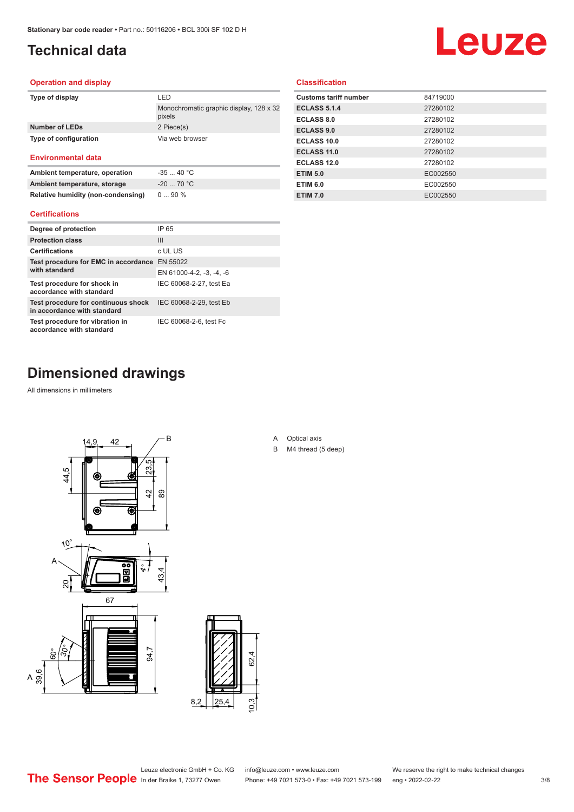### <span id="page-2-0"></span>**Technical data**

## Leuze

#### **Operation and display**

| Type of display       | I FD                                              |
|-----------------------|---------------------------------------------------|
|                       | Monochromatic graphic display, 128 x 32<br>pixels |
| <b>Number of LEDs</b> | 2 Piece(s)                                        |
| Type of configuration | Via web browser                                   |
|                       |                                                   |

#### **Environmental data**

| Ambient temperature, operation     | $-3540 °C$  |
|------------------------------------|-------------|
| Ambient temperature, storage       | $-20$ 70 °C |
| Relative humidity (non-condensing) | $090\%$     |

#### **Certifications**

| Degree of protection                                               | IP 65                    |
|--------------------------------------------------------------------|--------------------------|
| <b>Protection class</b>                                            | Ш                        |
| <b>Certifications</b>                                              | c UL US                  |
| Test procedure for EMC in accordance EN 55022                      |                          |
| with standard                                                      | EN 61000-4-2, -3, -4, -6 |
| Test procedure for shock in<br>accordance with standard            | IEC 60068-2-27, test Ea  |
| Test procedure for continuous shock<br>in accordance with standard | IEC 60068-2-29, test Eb  |
| Test procedure for vibration in<br>accordance with standard        | IEC 60068-2-6, test Fc   |

#### **Classification**

| <b>Customs tariff number</b> | 84719000 |
|------------------------------|----------|
| <b>ECLASS 5.1.4</b>          | 27280102 |
| <b>ECLASS 8.0</b>            | 27280102 |
| <b>ECLASS 9.0</b>            | 27280102 |
| <b>ECLASS 10.0</b>           | 27280102 |
| <b>ECLASS 11.0</b>           | 27280102 |
| ECLASS 12.0                  | 27280102 |
| <b>ETIM 5.0</b>              | EC002550 |
| <b>ETIM 6.0</b>              | EC002550 |
| <b>ETIM 7.0</b>              | EC002550 |

### **Dimensioned drawings**

All dimensions in millimeters





#### A Optical axis

B M4 thread (5 deep)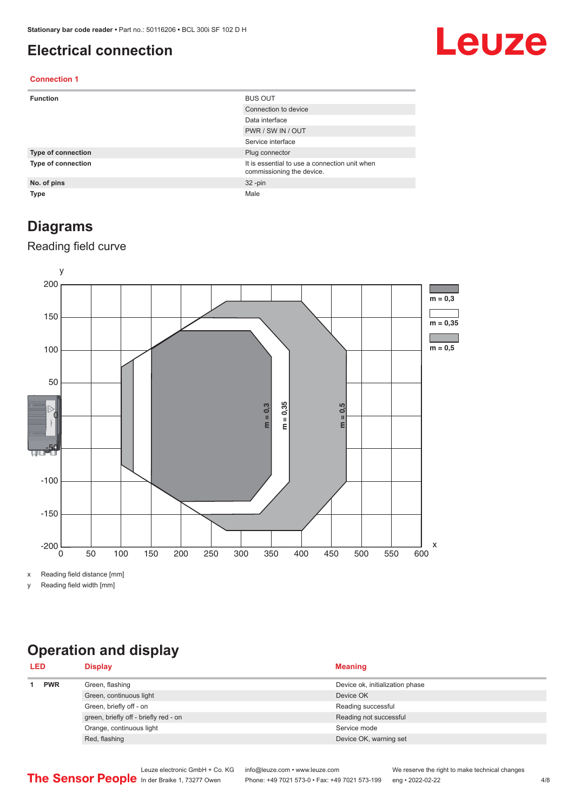#### <span id="page-3-0"></span>**Electrical connection**

## Leuze

#### **Connection 1**

| <b>Function</b>           | <b>BUS OUT</b>                                                             |
|---------------------------|----------------------------------------------------------------------------|
|                           | Connection to device                                                       |
|                           | Data interface                                                             |
|                           | PWR / SW IN / OUT                                                          |
|                           | Service interface                                                          |
| <b>Type of connection</b> | Plug connector                                                             |
| <b>Type of connection</b> | It is essential to use a connection unit when<br>commissioning the device. |
| No. of pins               | $32 - pin$                                                                 |
| <b>Type</b>               | Male                                                                       |

#### **Diagrams**

#### Reading field curve



x Reading field distance [mm]

y Reading field width [mm]

### **Operation and display**

| <b>LED</b> |            | <b>Display</b>                        | <b>Meaning</b>                  |  |
|------------|------------|---------------------------------------|---------------------------------|--|
|            | <b>PWR</b> | Green, flashing                       | Device ok, initialization phase |  |
|            |            | Green, continuous light               | Device OK                       |  |
|            |            | Green, briefly off - on               | Reading successful              |  |
|            |            | green, briefly off - briefly red - on | Reading not successful          |  |
|            |            | Orange, continuous light              | Service mode                    |  |
|            |            | Red, flashing                         | Device OK, warning set          |  |
|            |            |                                       |                                 |  |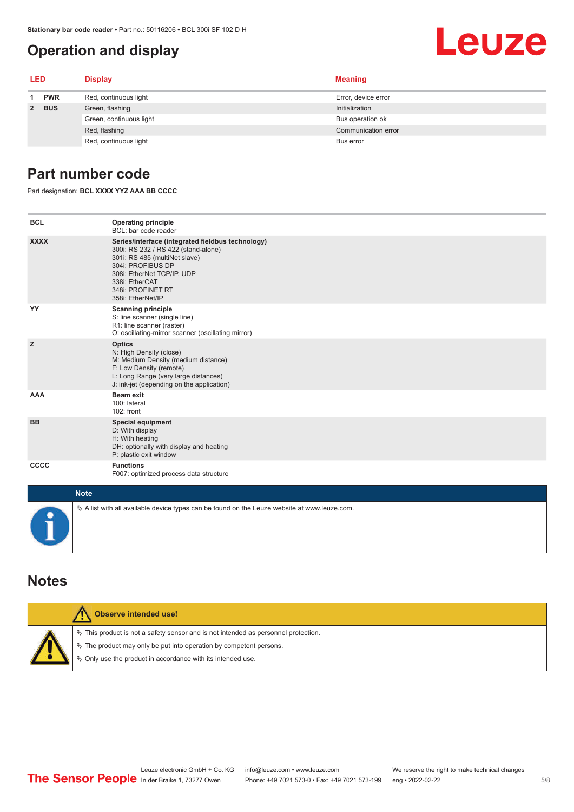#### <span id="page-4-0"></span>**Operation and display**

# Leuze

| <b>LED</b> |            | <b>Display</b>          | <b>Meaning</b>      |  |
|------------|------------|-------------------------|---------------------|--|
| $\sim$     | <b>PWR</b> | Red, continuous light   | Error, device error |  |
|            | 2 BUS      | Green, flashing         | Initialization      |  |
|            |            | Green, continuous light | Bus operation ok    |  |
|            |            | Red, flashing           | Communication error |  |
|            |            | Red, continuous light   | Bus error           |  |

#### **Part number code**

Part designation: **BCL XXXX YYZ AAA BB CCCC**

| <b>BCL</b>  | <b>Operating principle</b><br>BCL: bar code reader                                                                                                                                                                                       |
|-------------|------------------------------------------------------------------------------------------------------------------------------------------------------------------------------------------------------------------------------------------|
| <b>XXXX</b> | Series/interface (integrated fieldbus technology)<br>300i: RS 232 / RS 422 (stand-alone)<br>301i: RS 485 (multiNet slave)<br>304i: PROFIBUS DP<br>308i: EtherNet TCP/IP, UDP<br>338i: EtherCAT<br>348i: PROFINET RT<br>358i: EtherNet/IP |
| YY          | <b>Scanning principle</b><br>S: line scanner (single line)<br>R1: line scanner (raster)<br>O: oscillating-mirror scanner (oscillating mirror)                                                                                            |
| z           | <b>Optics</b><br>N: High Density (close)<br>M: Medium Density (medium distance)<br>F: Low Density (remote)<br>L: Long Range (very large distances)<br>J: ink-jet (depending on the application)                                          |
| <b>AAA</b>  | <b>Beam exit</b><br>100: lateral<br>$102:$ front                                                                                                                                                                                         |
| <b>BB</b>   | <b>Special equipment</b><br>D: With display<br>H: With heating<br>DH: optionally with display and heating<br>P: plastic exit window                                                                                                      |
| <b>CCCC</b> | <b>Functions</b><br>F007: optimized process data structure                                                                                                                                                                               |
| <b>Note</b> |                                                                                                                                                                                                                                          |
|             | $\&$ A list with all available device types can be found on the Leuze website at www.leuze.com.                                                                                                                                          |

#### **Notes**

| Observe intended use!                                                                                                                                                                                                         |
|-------------------------------------------------------------------------------------------------------------------------------------------------------------------------------------------------------------------------------|
| $\%$ This product is not a safety sensor and is not intended as personnel protection.<br>$\&$ The product may only be put into operation by competent persons.<br>♦ Only use the product in accordance with its intended use. |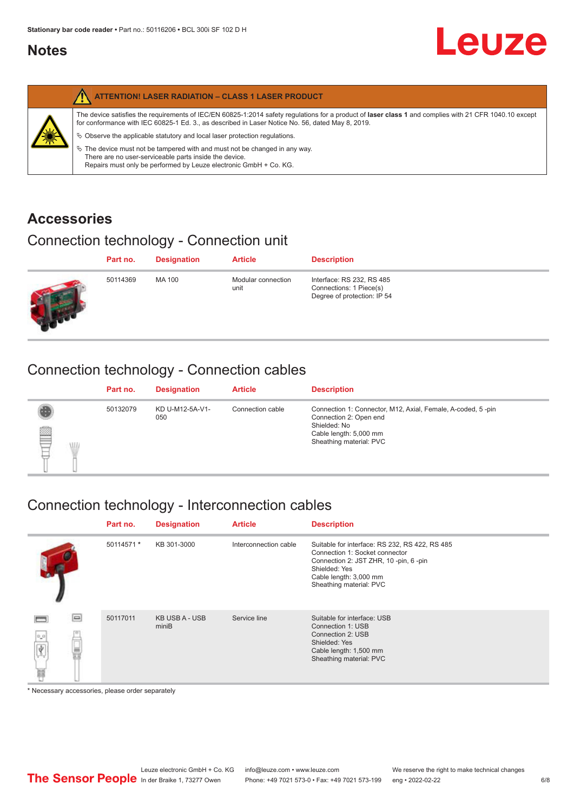#### <span id="page-5-0"></span>**Notes**

|   | <b>ATTENTION! LASER RADIATION - CLASS 1 LASER PRODUCT</b>                                                                                                                                                                                                                                                                                                                                                                                                                                                                                                   |
|---|-------------------------------------------------------------------------------------------------------------------------------------------------------------------------------------------------------------------------------------------------------------------------------------------------------------------------------------------------------------------------------------------------------------------------------------------------------------------------------------------------------------------------------------------------------------|
| 纂 | The device satisfies the requirements of IEC/EN 60825-1:2014 safety requlations for a product of laser class 1 and complies with 21 CFR 1040.10 except<br>for conformance with IEC 60825-1 Ed. 3., as described in Laser Notice No. 56, dated May 8, 2019.<br>$\%$ Observe the applicable statutory and local laser protection regulations.<br>$\%$ The device must not be tampered with and must not be changed in any way.<br>There are no user-serviceable parts inside the device.<br>Repairs must only be performed by Leuze electronic GmbH + Co. KG. |
|   |                                                                                                                                                                                                                                                                                                                                                                                                                                                                                                                                                             |

#### **Accessories**

### Connection technology - Connection unit

| Part no. | <b>Designation</b> | <b>Article</b>             | <b>Description</b>                                                                  |
|----------|--------------------|----------------------------|-------------------------------------------------------------------------------------|
| 50114369 | MA 100             | Modular connection<br>unit | Interface: RS 232, RS 485<br>Connections: 1 Piece(s)<br>Degree of protection: IP 54 |

### Connection technology - Connection cables

|         | Part no. | <b>Designation</b>     | <b>Article</b>   | <b>Description</b>                                                                                                                                         |
|---------|----------|------------------------|------------------|------------------------------------------------------------------------------------------------------------------------------------------------------------|
| Ê<br>WD | 50132079 | KD U-M12-5A-V1-<br>050 | Connection cable | Connection 1: Connector, M12, Axial, Female, A-coded, 5-pin<br>Connection 2: Open end<br>Shielded: No<br>Cable length: 5,000 mm<br>Sheathing material: PVC |

### Connection technology - Interconnection cables

|                                                  | Part no.   | <b>Designation</b>      | <b>Article</b>        | <b>Description</b>                                                                                                                                                                               |
|--------------------------------------------------|------------|-------------------------|-----------------------|--------------------------------------------------------------------------------------------------------------------------------------------------------------------------------------------------|
|                                                  | 50114571 * | KB 301-3000             | Interconnection cable | Suitable for interface: RS 232, RS 422, RS 485<br>Connection 1: Socket connector<br>Connection 2: JST ZHR, 10 -pin, 6 -pin<br>Shielded: Yes<br>Cable length: 3,000 mm<br>Sheathing material: PVC |
| e<br>$\frac{\sum\limits_{i=1}^{n}a_{i}}{n}$<br>畐 | 50117011   | KB USB A - USB<br>miniB | Service line          | Suitable for interface: USB<br>Connection 1: USB<br>Connection 2: USB<br>Shielded: Yes<br>Cable length: 1,500 mm<br>Sheathing material: PVC                                                      |

\* Necessary accessories, please order separately

Leuze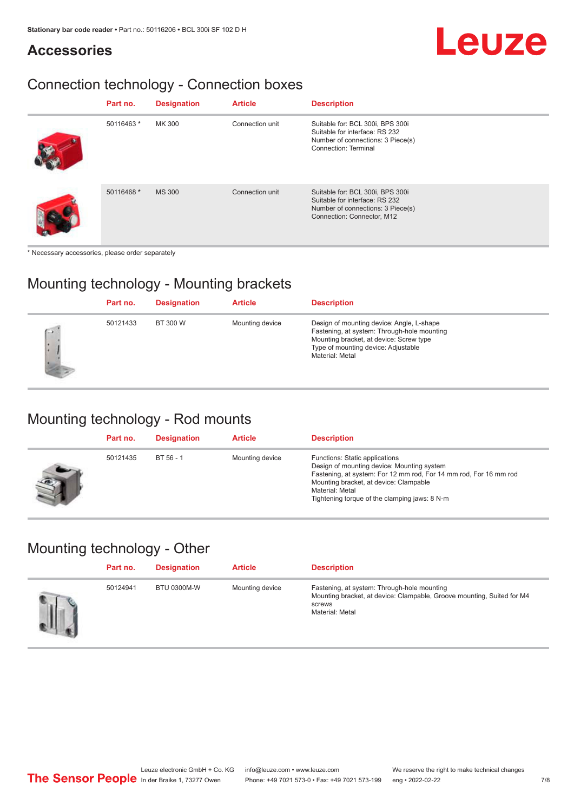### **Accessories**

## Connection technology - Connection boxes

| Part no.   | <b>Designation</b> | <b>Article</b>  | <b>Description</b>                                                                                                                    |
|------------|--------------------|-----------------|---------------------------------------------------------------------------------------------------------------------------------------|
| 50116463 * | MK 300             | Connection unit | Suitable for: BCL 300i, BPS 300i<br>Suitable for interface: RS 232<br>Number of connections: 3 Piece(s)<br>Connection: Terminal       |
| 50116468 * | <b>MS 300</b>      | Connection unit | Suitable for: BCL 300i, BPS 300i<br>Suitable for interface: RS 232<br>Number of connections: 3 Piece(s)<br>Connection: Connector, M12 |

\* Necessary accessories, please order separately

#### Mounting technology - Mounting brackets

|             | Part no. | <b>Designation</b> | <b>Article</b>  | <b>Description</b>                                                                                                                                                                            |
|-------------|----------|--------------------|-----------------|-----------------------------------------------------------------------------------------------------------------------------------------------------------------------------------------------|
| $\sim$<br>× | 50121433 | BT 300 W           | Mounting device | Design of mounting device: Angle, L-shape<br>Fastening, at system: Through-hole mounting<br>Mounting bracket, at device: Screw type<br>Type of mounting device: Adjustable<br>Material: Metal |

#### Mounting technology - Rod mounts

| Part no. | <b>Designation</b> | <b>Article</b>  | <b>Description</b>                                                                                                                                                                                                                                                |
|----------|--------------------|-----------------|-------------------------------------------------------------------------------------------------------------------------------------------------------------------------------------------------------------------------------------------------------------------|
| 50121435 | $BT 56 - 1$        | Mounting device | Functions: Static applications<br>Design of mounting device: Mounting system<br>Fastening, at system: For 12 mm rod, For 14 mm rod, For 16 mm rod<br>Mounting bracket, at device: Clampable<br>Material: Metal<br>Tightening torque of the clamping jaws: $8 N·m$ |

#### Mounting technology - Other

| Part no. | <b>Designation</b> | <b>Article</b>  | <b>Description</b>                                                                                                                                 |
|----------|--------------------|-----------------|----------------------------------------------------------------------------------------------------------------------------------------------------|
| 50124941 | <b>BTU 0300M-W</b> | Mounting device | Fastening, at system: Through-hole mounting<br>Mounting bracket, at device: Clampable, Groove mounting, Suited for M4<br>screws<br>Material: Metal |

Leuze